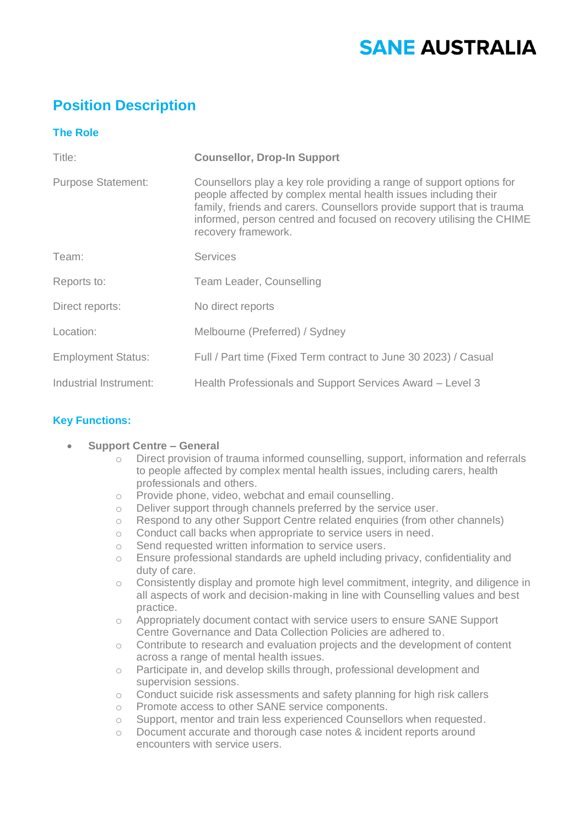# **SANE AUSTRALIA**

## **Position Description**

### **The Role**

| Title:                    | <b>Counsellor, Drop-In Support</b>                                                                                                                                                                                                                                                                               |  |
|---------------------------|------------------------------------------------------------------------------------------------------------------------------------------------------------------------------------------------------------------------------------------------------------------------------------------------------------------|--|
| <b>Purpose Statement:</b> | Counsellors play a key role providing a range of support options for<br>people affected by complex mental health issues including their<br>family, friends and carers. Counsellors provide support that is trauma<br>informed, person centred and focused on recovery utilising the CHIME<br>recovery framework. |  |
| Team:                     | <b>Services</b>                                                                                                                                                                                                                                                                                                  |  |
| Reports to:               | Team Leader, Counselling                                                                                                                                                                                                                                                                                         |  |
| Direct reports:           | No direct reports                                                                                                                                                                                                                                                                                                |  |
| Location:                 | Melbourne (Preferred) / Sydney                                                                                                                                                                                                                                                                                   |  |
| <b>Employment Status:</b> | Full / Part time (Fixed Term contract to June 30 2023) / Casual                                                                                                                                                                                                                                                  |  |
| Industrial Instrument:    | Health Professionals and Support Services Award - Level 3                                                                                                                                                                                                                                                        |  |

#### **Key Functions:**

#### • **Support Centre – General**

- o Direct provision of trauma informed counselling, support, information and referrals to people affected by complex mental health issues, including carers, health professionals and others.
- o Provide phone, video, webchat and email counselling.
- o Deliver support through channels preferred by the service user.
- o Respond to any other Support Centre related enquiries (from other channels)
- o Conduct call backs when appropriate to service users in need.
- o Send requested written information to service users.
- o Ensure professional standards are upheld including privacy, confidentiality and duty of care.
- o Consistently display and promote high level commitment, integrity, and diligence in all aspects of work and decision-making in line with Counselling values and best practice.
- o Appropriately document contact with service users to ensure SANE Support Centre Governance and Data Collection Policies are adhered to.
- $\circ$  Contribute to research and evaluation projects and the development of content across a range of mental health issues.
- o Participate in, and develop skills through, professional development and supervision sessions.
- $\circ$  Conduct suicide risk assessments and safety planning for high risk callers
- o Promote access to other SANE service components.
- o Support, mentor and train less experienced Counsellors when requested.
- o Document accurate and thorough case notes & incident reports around encounters with service users.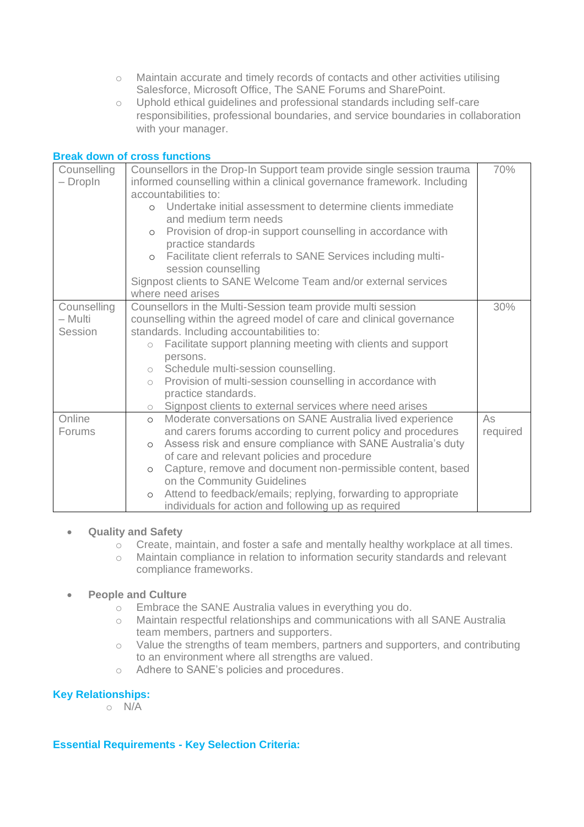- o Maintain accurate and timely records of contacts and other activities utilising Salesforce, Microsoft Office, The SANE Forums and SharePoint.
- o Uphold ethical guidelines and professional standards including self-care responsibilities, professional boundaries, and service boundaries in collaboration with your manager.

#### **Break down of cross functions**

| Counselling<br>- DropIn | Counsellors in the Drop-In Support team provide single session trauma<br>informed counselling within a clinical governance framework. Including<br>accountabilities to:<br>o Undertake initial assessment to determine clients immediate<br>and medium term needs<br>Provision of drop-in support counselling in accordance with<br>$\circ$<br>practice standards<br>Facilitate client referrals to SANE Services including multi-<br>$\circ$<br>session counselling<br>Signpost clients to SANE Welcome Team and/or external services<br>where need arises | 70%      |
|-------------------------|-------------------------------------------------------------------------------------------------------------------------------------------------------------------------------------------------------------------------------------------------------------------------------------------------------------------------------------------------------------------------------------------------------------------------------------------------------------------------------------------------------------------------------------------------------------|----------|
| Counselling             | Counsellors in the Multi-Session team provide multi session                                                                                                                                                                                                                                                                                                                                                                                                                                                                                                 | 30%      |
| - Multi                 | counselling within the agreed model of care and clinical governance                                                                                                                                                                                                                                                                                                                                                                                                                                                                                         |          |
| Session                 | standards. Including accountabilities to:                                                                                                                                                                                                                                                                                                                                                                                                                                                                                                                   |          |
|                         | Facilitate support planning meeting with clients and support<br>$\bigcirc$<br>persons.                                                                                                                                                                                                                                                                                                                                                                                                                                                                      |          |
|                         | o Schedule multi-session counselling.                                                                                                                                                                                                                                                                                                                                                                                                                                                                                                                       |          |
|                         | Provision of multi-session counselling in accordance with<br>$\circ$                                                                                                                                                                                                                                                                                                                                                                                                                                                                                        |          |
|                         | practice standards.                                                                                                                                                                                                                                                                                                                                                                                                                                                                                                                                         |          |
|                         | o Signpost clients to external services where need arises                                                                                                                                                                                                                                                                                                                                                                                                                                                                                                   |          |
| Online                  | Moderate conversations on SANE Australia lived experience<br>$\circ$                                                                                                                                                                                                                                                                                                                                                                                                                                                                                        | As       |
| Forums                  | and carers forums according to current policy and procedures                                                                                                                                                                                                                                                                                                                                                                                                                                                                                                | required |
|                         | Assess risk and ensure compliance with SANE Australia's duty<br>$\circ$                                                                                                                                                                                                                                                                                                                                                                                                                                                                                     |          |
|                         | of care and relevant policies and procedure                                                                                                                                                                                                                                                                                                                                                                                                                                                                                                                 |          |
|                         | Capture, remove and document non-permissible content, based<br>$\circ$                                                                                                                                                                                                                                                                                                                                                                                                                                                                                      |          |
|                         | on the Community Guidelines                                                                                                                                                                                                                                                                                                                                                                                                                                                                                                                                 |          |
|                         | Attend to feedback/emails; replying, forwarding to appropriate<br>$\circ$                                                                                                                                                                                                                                                                                                                                                                                                                                                                                   |          |
|                         | individuals for action and following up as required                                                                                                                                                                                                                                                                                                                                                                                                                                                                                                         |          |

#### • **Quality and Safety**

- $\circ$  Create, maintain, and foster a safe and mentally healthy workplace at all times.
- o Maintain compliance in relation to information security standards and relevant compliance frameworks.

#### • **People and Culture**

- o Embrace the SANE Australia values in everything you do.
- o Maintain respectful relationships and communications with all SANE Australia team members, partners and supporters.
- o Value the strengths of team members, partners and supporters, and contributing to an environment where all strengths are valued.
- o Adhere to SANE's policies and procedures.

#### **Key Relationships:**

o N/A

#### **Essential Requirements - Key Selection Criteria:**